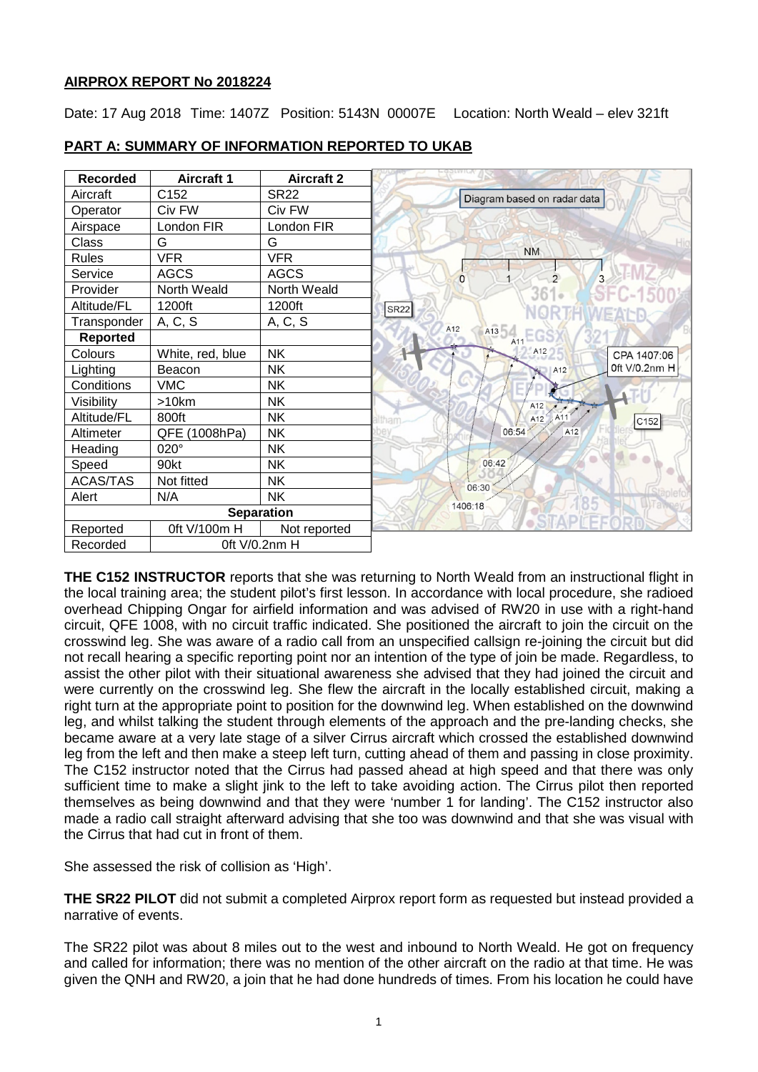### **AIRPROX REPORT No 2018224**

Date: 17 Aug 2018 Time: 1407Z Position: 5143N 00007E Location: North Weald – elev 321ft



# **PART A: SUMMARY OF INFORMATION REPORTED TO UKAB**

**THE C152 INSTRUCTOR** reports that she was returning to North Weald from an instructional flight in the local training area; the student pilot's first lesson. In accordance with local procedure, she radioed overhead Chipping Ongar for airfield information and was advised of RW20 in use with a right-hand circuit, QFE 1008, with no circuit traffic indicated. She positioned the aircraft to join the circuit on the crosswind leg. She was aware of a radio call from an unspecified callsign re-joining the circuit but did not recall hearing a specific reporting point nor an intention of the type of join be made. Regardless, to assist the other pilot with their situational awareness she advised that they had joined the circuit and were currently on the crosswind leg. She flew the aircraft in the locally established circuit, making a right turn at the appropriate point to position for the downwind leg. When established on the downwind leg, and whilst talking the student through elements of the approach and the pre-landing checks, she became aware at a very late stage of a silver Cirrus aircraft which crossed the established downwind leg from the left and then make a steep left turn, cutting ahead of them and passing in close proximity. The C152 instructor noted that the Cirrus had passed ahead at high speed and that there was only sufficient time to make a slight jink to the left to take avoiding action. The Cirrus pilot then reported themselves as being downwind and that they were 'number 1 for landing'. The C152 instructor also made a radio call straight afterward advising that she too was downwind and that she was visual with the Cirrus that had cut in front of them.

She assessed the risk of collision as 'High'.

**THE SR22 PILOT** did not submit a completed Airprox report form as requested but instead provided a narrative of events.

The SR22 pilot was about 8 miles out to the west and inbound to North Weald. He got on frequency and called for information; there was no mention of the other aircraft on the radio at that time. He was given the QNH and RW20, a join that he had done hundreds of times. From his location he could have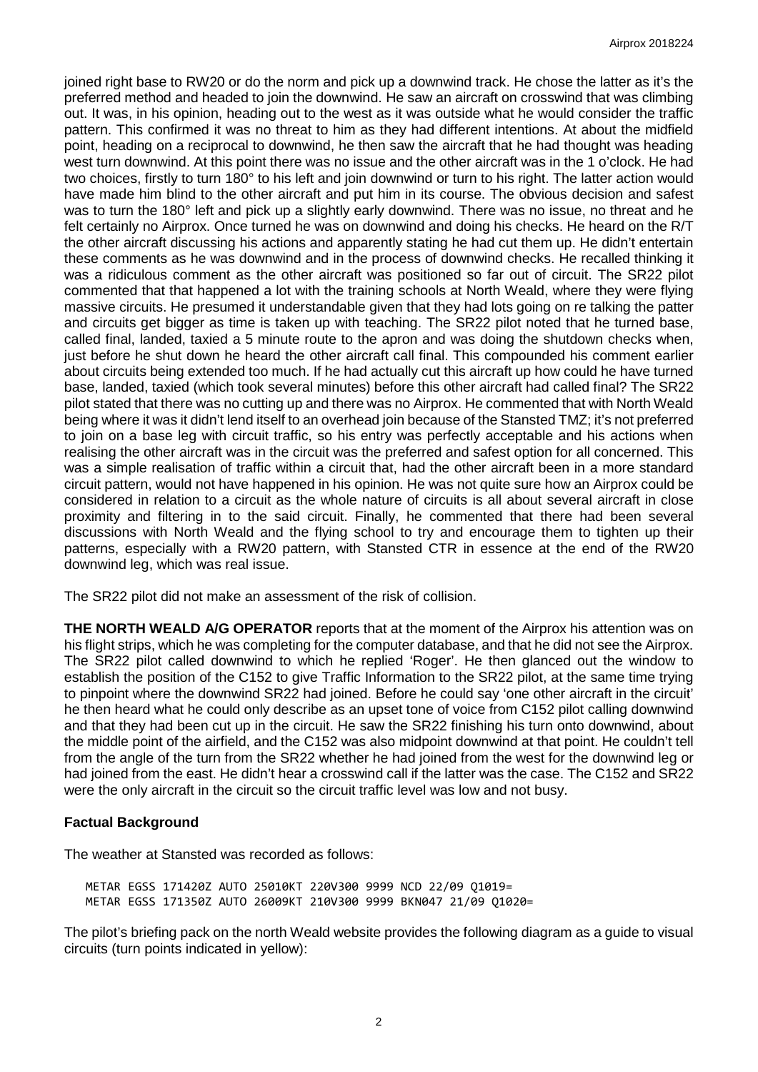joined right base to RW20 or do the norm and pick up a downwind track. He chose the latter as it's the preferred method and headed to join the downwind. He saw an aircraft on crosswind that was climbing out. It was, in his opinion, heading out to the west as it was outside what he would consider the traffic pattern. This confirmed it was no threat to him as they had different intentions. At about the midfield point, heading on a reciprocal to downwind, he then saw the aircraft that he had thought was heading west turn downwind. At this point there was no issue and the other aircraft was in the 1 o'clock. He had two choices, firstly to turn 180° to his left and join downwind or turn to his right. The latter action would have made him blind to the other aircraft and put him in its course. The obvious decision and safest was to turn the 180° left and pick up a slightly early downwind. There was no issue, no threat and he felt certainly no Airprox. Once turned he was on downwind and doing his checks. He heard on the R/T the other aircraft discussing his actions and apparently stating he had cut them up. He didn't entertain these comments as he was downwind and in the process of downwind checks. He recalled thinking it was a ridiculous comment as the other aircraft was positioned so far out of circuit. The SR22 pilot commented that that happened a lot with the training schools at North Weald, where they were flying massive circuits. He presumed it understandable given that they had lots going on re talking the patter and circuits get bigger as time is taken up with teaching. The SR22 pilot noted that he turned base, called final, landed, taxied a 5 minute route to the apron and was doing the shutdown checks when, just before he shut down he heard the other aircraft call final. This compounded his comment earlier about circuits being extended too much. If he had actually cut this aircraft up how could he have turned base, landed, taxied (which took several minutes) before this other aircraft had called final? The SR22 pilot stated that there was no cutting up and there was no Airprox. He commented that with North Weald being where it was it didn't lend itself to an overhead join because of the Stansted TMZ; it's not preferred to join on a base leg with circuit traffic, so his entry was perfectly acceptable and his actions when realising the other aircraft was in the circuit was the preferred and safest option for all concerned. This was a simple realisation of traffic within a circuit that, had the other aircraft been in a more standard circuit pattern, would not have happened in his opinion. He was not quite sure how an Airprox could be considered in relation to a circuit as the whole nature of circuits is all about several aircraft in close proximity and filtering in to the said circuit. Finally, he commented that there had been several discussions with North Weald and the flying school to try and encourage them to tighten up their patterns, especially with a RW20 pattern, with Stansted CTR in essence at the end of the RW20 downwind leg, which was real issue.

The SR22 pilot did not make an assessment of the risk of collision.

**THE NORTH WEALD A/G OPERATOR** reports that at the moment of the Airprox his attention was on his flight strips, which he was completing for the computer database, and that he did not see the Airprox. The SR22 pilot called downwind to which he replied 'Roger'. He then glanced out the window to establish the position of the C152 to give Traffic Information to the SR22 pilot, at the same time trying to pinpoint where the downwind SR22 had joined. Before he could say 'one other aircraft in the circuit' he then heard what he could only describe as an upset tone of voice from C152 pilot calling downwind and that they had been cut up in the circuit. He saw the SR22 finishing his turn onto downwind, about the middle point of the airfield, and the C152 was also midpoint downwind at that point. He couldn't tell from the angle of the turn from the SR22 whether he had joined from the west for the downwind leg or had joined from the east. He didn't hear a crosswind call if the latter was the case. The C152 and SR22 were the only aircraft in the circuit so the circuit traffic level was low and not busy.

### **Factual Background**

The weather at Stansted was recorded as follows:

METAR EGSS 171420Z AUTO 25010KT 220V300 9999 NCD 22/09 Q1019= METAR EGSS 171350Z AUTO 26009KT 210V300 9999 BKN047 21/09 Q1020=

The pilot's briefing pack on the north Weald website provides the following diagram as a guide to visual circuits (turn points indicated in yellow):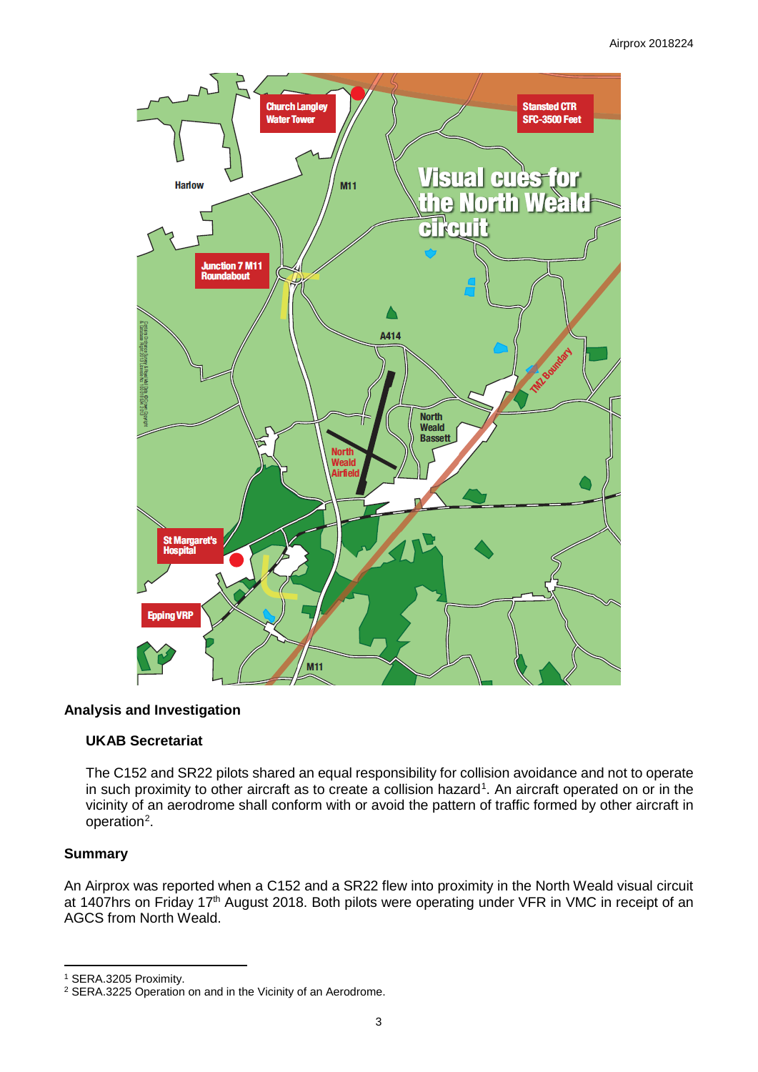

# **Analysis and Investigation**

### **UKAB Secretariat**

The C152 and SR22 pilots shared an equal responsibility for collision avoidance and not to operate in such proximity to other aircraft as to create a collision hazard<sup>[1](#page-2-0)</sup>. An aircraft operated on or in the vicinity of an aerodrome shall conform with or avoid the pattern of traffic formed by other aircraft in operation<sup>[2](#page-2-1)</sup>.

### **Summary**

l

An Airprox was reported when a C152 and a SR22 flew into proximity in the North Weald visual circuit at 1407hrs on Friday 17<sup>th</sup> August 2018. Both pilots were operating under VFR in VMC in receipt of an AGCS from North Weald.

<span id="page-2-0"></span><sup>1</sup> SERA.3205 Proximity.

<span id="page-2-1"></span><sup>2</sup> SERA.3225 Operation on and in the Vicinity of an Aerodrome.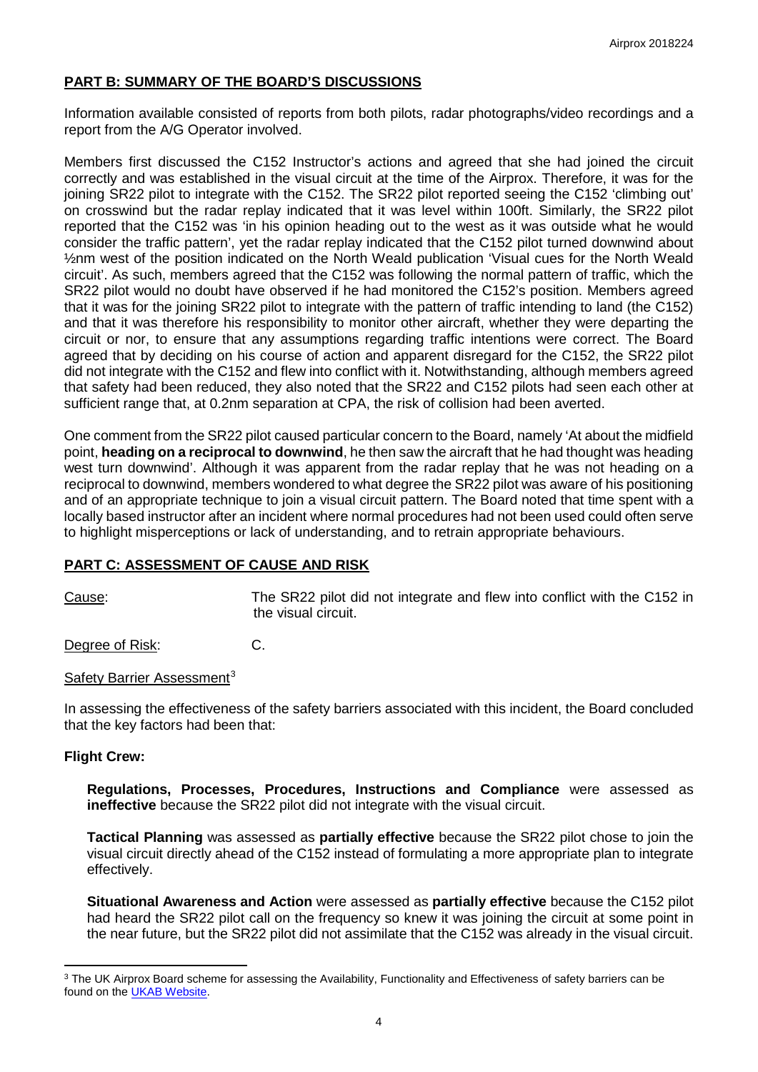### **PART B: SUMMARY OF THE BOARD'S DISCUSSIONS**

Information available consisted of reports from both pilots, radar photographs/video recordings and a report from the A/G Operator involved.

Members first discussed the C152 Instructor's actions and agreed that she had joined the circuit correctly and was established in the visual circuit at the time of the Airprox. Therefore, it was for the joining SR22 pilot to integrate with the C152. The SR22 pilot reported seeing the C152 'climbing out' on crosswind but the radar replay indicated that it was level within 100ft. Similarly, the SR22 pilot reported that the C152 was 'in his opinion heading out to the west as it was outside what he would consider the traffic pattern', yet the radar replay indicated that the C152 pilot turned downwind about ½nm west of the position indicated on the North Weald publication 'Visual cues for the North Weald circuit'. As such, members agreed that the C152 was following the normal pattern of traffic, which the SR22 pilot would no doubt have observed if he had monitored the C152's position. Members agreed that it was for the joining SR22 pilot to integrate with the pattern of traffic intending to land (the C152) and that it was therefore his responsibility to monitor other aircraft, whether they were departing the circuit or nor, to ensure that any assumptions regarding traffic intentions were correct. The Board agreed that by deciding on his course of action and apparent disregard for the C152, the SR22 pilot did not integrate with the C152 and flew into conflict with it. Notwithstanding, although members agreed that safety had been reduced, they also noted that the SR22 and C152 pilots had seen each other at sufficient range that, at 0.2nm separation at CPA, the risk of collision had been averted.

One comment from the SR22 pilot caused particular concern to the Board, namely 'At about the midfield point, **heading on a reciprocal to downwind**, he then saw the aircraft that he had thought was heading west turn downwind'. Although it was apparent from the radar replay that he was not heading on a reciprocal to downwind, members wondered to what degree the SR22 pilot was aware of his positioning and of an appropriate technique to join a visual circuit pattern. The Board noted that time spent with a locally based instructor after an incident where normal procedures had not been used could often serve to highlight misperceptions or lack of understanding, and to retrain appropriate behaviours.

#### **PART C: ASSESSMENT OF CAUSE AND RISK**

Cause: The SR22 pilot did not integrate and flew into conflict with the C152 in the visual circuit.

Degree of Risk: C.

#### Safety Barrier Assessment<sup>[3](#page-3-0)</sup>

In assessing the effectiveness of the safety barriers associated with this incident, the Board concluded that the key factors had been that:

#### **Flight Crew:**

l

**Regulations, Processes, Procedures, Instructions and Compliance** were assessed as **ineffective** because the SR22 pilot did not integrate with the visual circuit.

**Tactical Planning** was assessed as **partially effective** because the SR22 pilot chose to join the visual circuit directly ahead of the C152 instead of formulating a more appropriate plan to integrate effectively.

**Situational Awareness and Action** were assessed as **partially effective** because the C152 pilot had heard the SR22 pilot call on the frequency so knew it was joining the circuit at some point in the near future, but the SR22 pilot did not assimilate that the C152 was already in the visual circuit.

<span id="page-3-0"></span><sup>&</sup>lt;sup>3</sup> The UK Airprox Board scheme for assessing the Availability, Functionality and Effectiveness of safety barriers can be found on the [UKAB Website.](http://www.airproxboard.org.uk/Learn-more/Airprox-Barrier-Assessment/)